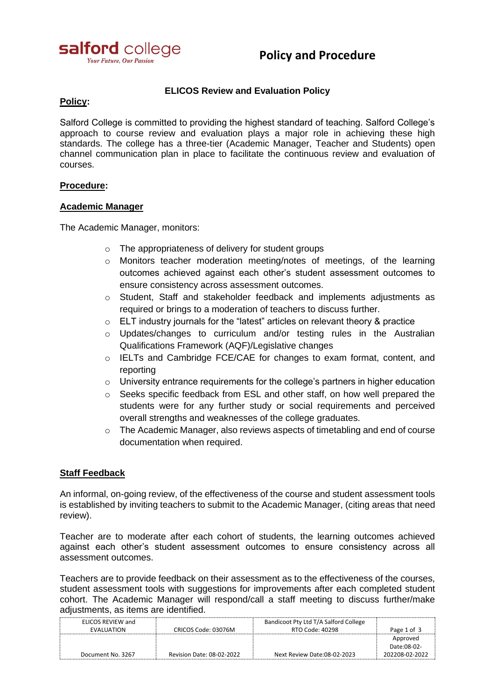

## **ELICOS Review and Evaluation Policy**

# **Policy:**

Salford College is committed to providing the highest standard of teaching. Salford College's approach to course review and evaluation plays a major role in achieving these high standards. The college has a three-tier (Academic Manager, Teacher and Students) open channel communication plan in place to facilitate the continuous review and evaluation of courses.

## **Procedure:**

### **Academic Manager**

The Academic Manager, monitors:

- o The appropriateness of delivery for student groups
- o Monitors teacher moderation meeting/notes of meetings, of the learning outcomes achieved against each other's student assessment outcomes to ensure consistency across assessment outcomes.
- o Student, Staff and stakeholder feedback and implements adjustments as required or brings to a moderation of teachers to discuss further.
- o ELT industry journals for the "latest" articles on relevant theory & practice
- o Updates/changes to curriculum and/or testing rules in the Australian Qualifications Framework (AQF)/Legislative changes
- o IELTs and Cambridge FCE/CAE for changes to exam format, content, and reporting
- $\circ$  University entrance requirements for the college's partners in higher education
- $\circ$  Seeks specific feedback from ESL and other staff, on how well prepared the students were for any further study or social requirements and perceived overall strengths and weaknesses of the college graduates.
- o The Academic Manager, also reviews aspects of timetabling and end of course documentation when required.

## **Staff Feedback**

An informal, on-going review, of the effectiveness of the course and student assessment tools is established by inviting teachers to submit to the Academic Manager, (citing areas that need review).

Teacher are to moderate after each cohort of students, the learning outcomes achieved against each other's student assessment outcomes to ensure consistency across all assessment outcomes.

Teachers are to provide feedback on their assessment as to the effectiveness of the courses, student assessment tools with suggestions for improvements after each completed student cohort. The Academic Manager will respond/call a staff meeting to discuss further/make adjustments, as items are identified.

| ELICOS REVIEW and |                           | Bandicoot Pty Ltd T/A Salford College |                |
|-------------------|---------------------------|---------------------------------------|----------------|
| EVALUATION        | CRICOS Code: 03076M       | RTO Code: 40298                       | Page 1 of 3    |
|                   |                           |                                       | Approved       |
|                   |                           |                                       | Date:08-02-    |
| Document No. 3267 | Revision Date: 08-02-2022 | Next Review Date:08-02-2023           | 202208-02-2022 |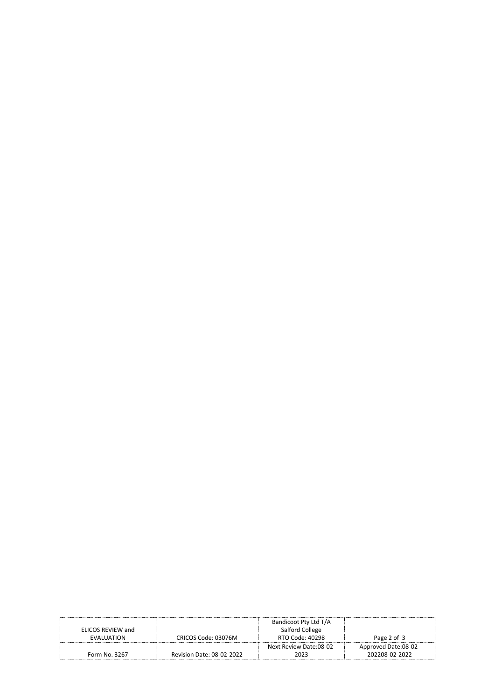| ELICOS REVIEW and<br>EVALUATION | CRICOS Code: 03076M              | Bandicoot Pty Ltd T/A<br>Salford College<br>RTO Code: 40298 | Page 2 of 3                            |
|---------------------------------|----------------------------------|-------------------------------------------------------------|----------------------------------------|
| Form No. 3267                   | <b>Revision Date: 08-02-2022</b> | Next Review Date:08-02-<br>2023                             | Approved Date:08-02-<br>202208-02-2022 |